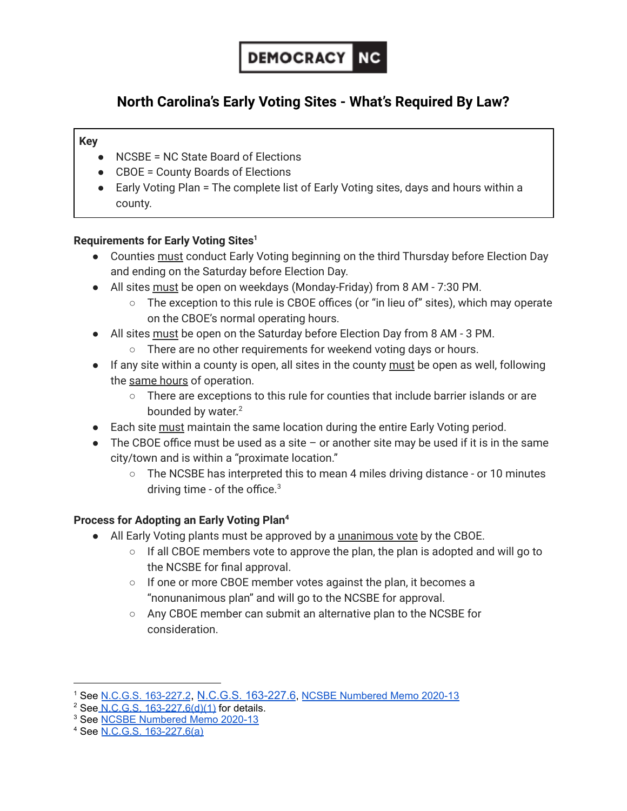

# **North Carolina's Early Voting Sites - What's Required By Law?**

### **Key**

- NCSBE = NC State Board of Elections
- CBOE = County Boards of Elections
- Early Voting Plan = The complete list of Early Voting sites, days and hours within a county.

# **Requirements for Early Voting Sites 1**

- Counties must conduct Early Voting beginning on the third Thursday before Election Day and ending on the Saturday before Election Day.
- All sites must be open on weekdays (Monday-Friday) from 8 AM 7:30 PM.
	- The exception to this rule is CBOE offices (or "in lieu of" sites), which may operate on the CBOE's normal operating hours.
- All sites must be open on the Saturday before Election Day from 8 AM 3 PM.
	- There are no other requirements for weekend voting days or hours.
- If any site within a county is open, all sites in the county must be open as well, following the same hours of operation.
	- There are exceptions to this rule for counties that include barrier islands or are bounded by water.<sup>2</sup>
- Each site must maintain the same location during the entire Early Voting period.
- The CBOE office must be used as a site  $-$  or another site may be used if it is in the same city/town and is within a "proximate location."
	- $\circ$  The NCSBE has interpreted this to mean 4 miles driving distance or 10 minutes driving time - of the office.<sup>3</sup>

# **Process for Adopting an Early Voting Plan 4**

- All Early Voting plants must be approved by a unanimous vote by the CBOE.
	- If all CBOE members vote to approve the plan, the plan is adopted and will go to the NCSBE for final approval.
	- If one or more CBOE member votes against the plan, it becomes a "nonunanimous plan" and will go to the NCSBE for approval.
	- Any CBOE member can submit an alternative plan to the NCSBE for consideration.

<sup>1</sup> See N.C.G.S. [163-227.2](https://www.ncleg.gov/EnactedLegislation/Statutes/PDF/BySection/Chapter_163/GS_163-227.2.pdf), N.C.G.S. [163-227.6](https://www.ncleg.gov/EnactedLegislation/Statutes/PDF/BySection/Chapter_163/GS_163-227.6.pdf), NCSBE [Numbered](https://s3.amazonaws.com/dl.ncsbe.gov/sboe/numbermemo/2020/Numbered%20Memo%202020-13_One-Stop%20Planning%20for%202020%20General%20Election.pdf) Memo 2020-13

<sup>&</sup>lt;sup>2</sup> See N.C.G.S. [163-227.6\(d\)\(1\)](https://www.ncleg.gov/EnactedLegislation/Statutes/PDF/BySection/Chapter_163/GS_163-227.6.pdf) for details.

<sup>&</sup>lt;sup>3</sup> See **NCSBE [Numbered](https://s3.amazonaws.com/dl.ncsbe.gov/sboe/numbermemo/2020/Numbered%20Memo%202020-13_One-Stop%20Planning%20for%202020%20General%20Election.pdf) Memo 2020-13** 

<sup>4</sup> See N.C.G.S. [163-227.6\(a\)](https://www.ncleg.gov/EnactedLegislation/Statutes/PDF/BySection/Chapter_163/GS_163-227.6.pdf)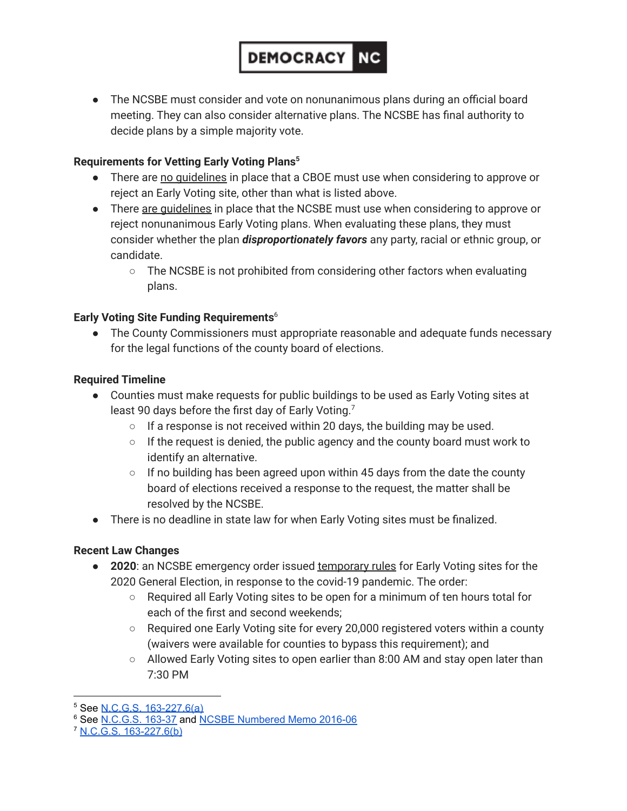# ● The NCSBE must consider and vote on nonunanimous plans during an official board meeting. They can also consider alternative plans. The NCSBE has final authority to

**DEMOCRACY NG** 

# **Requirements for Vetting Early Voting Plans 5**

decide plans by a simple majority vote.

- There are no guidelines in place that a CBOE must use when considering to approve or reject an Early Voting site, other than what is listed above.
- There are quidelines in place that the NCSBE must use when considering to approve or reject nonunanimous Early Voting plans. When evaluating these plans, they must consider whether the plan *disproportionately favors* any party, racial or ethnic group, or candidate.
	- $\circ$  The NCSBE is not prohibited from considering other factors when evaluating plans.

## **Early Voting Site Funding Requirements** 6

● The County Commissioners must appropriate reasonable and adequate funds necessary for the legal functions of the county board of elections.

### **Required Timeline**

- Counties must make requests for public buildings to be used as Early Voting sites at least 90 days before the first day of Early Voting.<sup>7</sup>
	- If a response is not received within 20 days, the building may be used.
	- If the request is denied, the public agency and the county board must work to identify an alternative.
	- $\circ$  If no building has been agreed upon within 45 days from the date the county board of elections received a response to the request, the matter shall be resolved by the NCSBE.
- There is no deadline in state law for when Early Voting sites must be finalized.

#### **Recent Law Changes**

- **2020**: an NCSBE emergency order issued temporary rules for Early Voting sites for the 2020 General Election, in response to the covid-19 pandemic. The order:
	- Required all Early Voting sites to be open for a minimum of ten hours total for each of the first and second weekends;
	- $\circ$  Required one Early Voting site for every 20,000 registered voters within a county (waivers were available for counties to bypass this requirement); and
	- Allowed Early Voting sites to open earlier than 8:00 AM and stay open later than 7:30 PM

<sup>5</sup> See N.C.G.S. [163-227.6\(a\)](https://www.ncleg.gov/EnactedLegislation/Statutes/PDF/BySection/Chapter_163/GS_163-227.6.pdf)

<sup>6</sup> See [N.C.G.S.](https://www.ncleg.gov/EnactedLegislation/Statutes/PDF/BySection/Chapter_163/GS_163-37.pdf) 163-37 and NCSBE [Numbered](http://dl.ncsbe.gov.s3.amazonaws.com/sboe/numbermemo/2016/Numbered_Memo_2016-06.pdf) Memo 2016-06

<sup>7</sup> N.C.G.S. [163-227.6\(b\)](https://www.ncleg.gov/EnactedLegislation/Statutes/PDF/BySection/Chapter_163/GS_163-227.6.pdf)